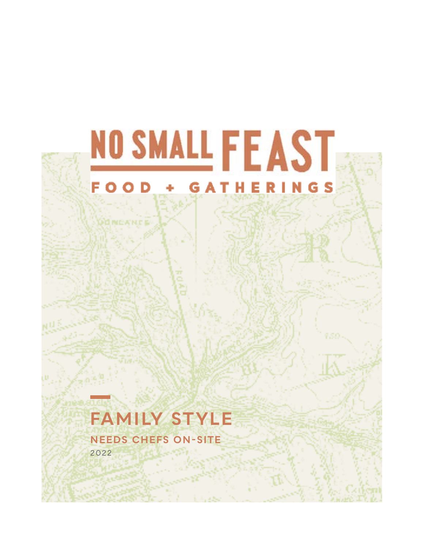

Ad NICA NICA

# **FAMILY STYLE**

**NEEDS CHEFS ON-SITE** 2022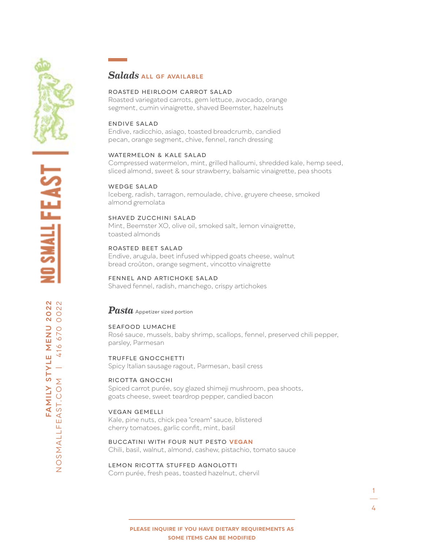

 $\overline{z}$ 

### *Salads* **all gF Available**

#### Roasted heirloom carrot salad

Roasted variegated carrots, gem lettuce, avocado, orange segment, cumin vinaigrette, shaved Beemster, hazelnuts

#### ENDIVE SALAD

Endive, radicchio, asiago, toasted breadcrumb, candied pecan, orange segment, chive, fennel, ranch dressing

#### WATERMELON & KALE SALAD

Compressed watermelon, mint, grilled halloumi, shredded kale, hemp seed, sliced almond, sweet & sour strawberry, balsamic vinaigrette, pea shoots

#### WEDGE SALAD

Iceberg, radish, tarragon, remoulade, chive, gruyere cheese, smoked almond gremolata

#### SHAVED ZUCcHINI salad

Mint, Beemster XO, olive oil, smoked salt, lemon vinaigrette, toasted almonds

#### Roasted beet salad

Endive, arugula, beet infused whipped goats cheese, walnut bread croûton, orange segment, vincotto vinaigrette

#### Fennel and artichoke salad

Shaved fennel, radish, manchego, crispy artichokes

#### *Pasta* Appetizer sized portion

#### Seafood lumache

Rosé sauce, mussels, baby shrimp, scallops, fennel, preserved chili pepper, parsley, Parmesan

## TRUFFLE GNOCCHetti

Spicy Italian sausage ragout, Parmesan, basil cress

#### Ricotta Gnocchi

Spiced carrot purée, soy glazed shimeji mushroom, pea shoots, goats cheese, sweet teardrop pepper, candied bacon

#### Vegan gemelli

Kale, pine nuts, chick pea "cream" sauce, blistered cherry tomatoes, garlic confit, mint, basil

BUCCATINI WITH FOUR NUT PESTO **vegan** Chili, basil, walnut, almond, cashew, pistachio, tomato sauce

#### Lemon Ricotta stuffed Agnolotti

Corn purée, fresh peas, toasted hazelnut, chervil

1 4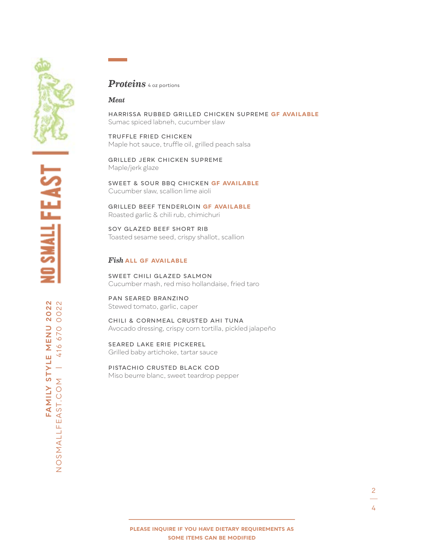

## *Proteins* 4 oz portions

#### *Meat*

HARRISSA RUBBED Grilled CHICKEN supreme **gF Available** Sumac spiced labneh, cucumber slaw

Truffle Fried Chicken Maple hot sauce, truffle oil, grilled peach salsa

Grilled Jerk Chicken supreme Maple/jerk glaze

sweet & sour bbq CHICKEN **gF Available** Cucumber slaw, scallion lime aioli

Grilled beef tenderloin **gF Available** Roasted garlic & chili rub, chimichuri

SOY GLAZED beef SHORT RIB Toasted sesame seed, crispy shallot, scallion

#### *Fish* **all gF Available**

Sweet chili glazed Salmon Cucumber mash, red miso hollandaise, fried taro

Pan Seared Branzino Stewed tomato, garlic, caper

Chili & cornmeal crusted AHI TUNA Avocado dressing, crispy corn tortilla, pickled jalapeño

Seared LAKE ERIE PICKEREL Grilled baby artichoke, tartar sauce

Pistachio Crusted black cod Miso beurre blanc, sweet teardrop pepper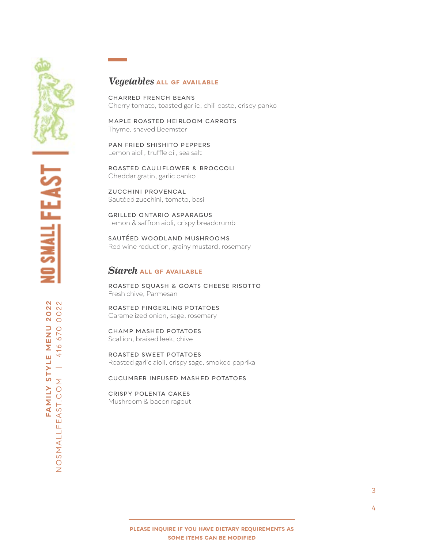## *Vegetables* **all gF Available**

Charred French Beans Cherry tomato, toasted garlic, chili paste, crispy panko

maple roasted heirloom carrots Thyme, shaved Beemster

Pan Fried Shishito Peppers Lemon aioli, truffle oil, sea salt

ROASTED CAULIFLOWER & BROCCOLI Cheddar gratin, garlic panko

Zucchini Provencal Sautéed zucchini, tomato, basil

Grilled ontario asparagus Lemon & saffron aioli, crispy breadcrumb

Sautéed woodland mushrooms Red wine reduction, grainy mustard, rosemary

## *Starch* **all gF Available**

Roasted Squash & Goats cheese risotto Fresh chive, Parmesan

Roasted Fingerling Potatoes Caramelized onion, sage, rosemary

CHamp mashed potatoes Scallion, braised leek, chive

Roasted Sweet Potatoes Roasted garlic aioli, crispy sage, smoked paprika

#### Cucumber infused mashed potatoes

Crispy polenta cakes Mushroom & bacon ragout

3

FAMILY STYLE MENU 2022<br>AST.COM | 416 670 0022 **FAMILY STYLE MENU 2022** NOSMALLFEAST.COM | 416 670 0022 NOSMALLFEAST.COM